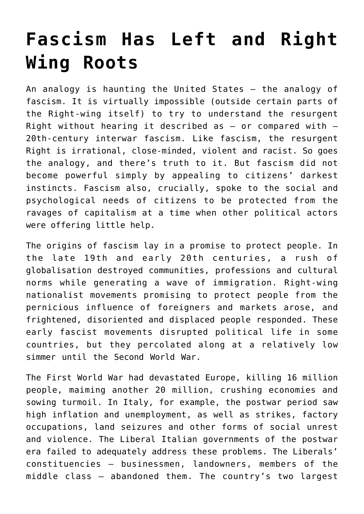## **[Fascism Has Left and Right](https://intellectualtakeout.org/2017/03/fascism-has-left-and-right-wing-roots/) [Wing Roots](https://intellectualtakeout.org/2017/03/fascism-has-left-and-right-wing-roots/)**

An analogy is haunting the United States – the analogy of fascism. It is virtually impossible (outside certain parts of the Right-wing itself) to try to understand the resurgent Right without hearing it described as  $-$  or compared with  $-$ 20th-century interwar fascism. Like fascism, the resurgent Right is irrational, close-minded, violent and racist. So goes the analogy, and there's truth to it. But fascism did not become powerful simply by appealing to citizens' darkest instincts. Fascism also, crucially, spoke to the social and psychological needs of citizens to be protected from the ravages of capitalism at a time when other political actors were offering little help.

The origins of fascism lay in a promise to protect people. In the late 19th and early 20th centuries, a rush of globalisation destroyed communities, professions and cultural norms while generating a wave of immigration. Right-wing nationalist movements promising to protect people from the pernicious influence of foreigners and markets arose, and frightened, disoriented and displaced people responded. These early fascist movements disrupted political life in some countries, but they percolated along at a relatively low simmer until the Second World War.

The First World War had devastated Europe, killing 16 million people, maiming another 20 million, crushing economies and sowing turmoil. In Italy, for example, the postwar period saw high inflation and unemployment, as well as strikes, factory occupations, land seizures and other forms of social unrest and violence. The Liberal Italian governments of the postwar era failed to adequately address these problems. The Liberals' constituencies – businessmen, landowners, members of the middle class – abandoned them. The country's two largest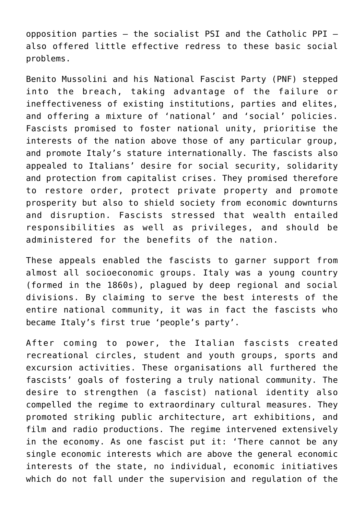opposition parties – the socialist PSI and the Catholic PPI – also offered little effective redress to these basic social problems.

Benito Mussolini and his National Fascist Party (PNF) stepped into the breach, taking advantage of the failure or ineffectiveness of existing institutions, parties and elites, and offering a mixture of 'national' and 'social' policies. Fascists promised to foster national unity, prioritise the interests of the nation above those of any particular group, and promote Italy's stature internationally. The fascists also appealed to Italians' desire for social security, solidarity and protection from capitalist crises. They promised therefore to restore order, protect private property and promote prosperity but also to shield society from economic downturns and disruption. Fascists stressed that wealth entailed responsibilities as well as privileges, and should be administered for the benefits of the nation.

These appeals enabled the fascists to garner support from almost all socioeconomic groups. Italy was a young country (formed in the 1860s), plagued by deep regional and social divisions. By claiming to serve the best interests of the entire national community, it was in fact the fascists who became Italy's first true 'people's party'.

After coming to power, the Italian fascists created recreational circles, student and youth groups, sports and excursion activities. These organisations all furthered the fascists' goals of fostering a truly national community. The desire to strengthen (a fascist) national identity also compelled the regime to extraordinary cultural measures. They promoted striking public architecture, art exhibitions, and film and radio productions. The regime intervened extensively in the economy. As one fascist put it: 'There cannot be any single economic interests which are above the general economic interests of the state, no individual, economic initiatives which do not fall under the supervision and regulation of the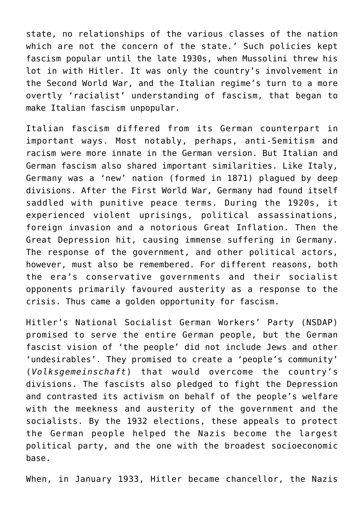state, no relationships of the various classes of the nation which are not the concern of the state.' Such policies kept fascism popular until the late 1930s, when Mussolini threw his lot in with Hitler. It was only the country's involvement in the Second World War, and the Italian regime's turn to a more overtly 'racialist' understanding of fascism, that began to make Italian fascism unpopular.

Italian fascism differed from its German counterpart in important ways. Most notably, perhaps, anti-Semitism and racism were more innate in the German version. But Italian and German fascism also shared important similarities. Like Italy, Germany was a 'new' nation (formed in 1871) plagued by deep divisions. After the First World War, Germany had found itself saddled with punitive peace terms. During the 1920s, it experienced violent uprisings, political assassinations, foreign invasion and a notorious Great Inflation. Then the Great Depression hit, causing immense suffering in Germany. The response of the government, and other political actors, however, must also be remembered. For different reasons, both the era's conservative governments and their socialist opponents primarily favoured austerity as a response to the crisis. Thus came a golden opportunity for fascism.

Hitler's National Socialist German Workers' Party (NSDAP) promised to serve the entire German people, but the German fascist vision of 'the people' did not include Jews and other 'undesirables'. They promised to create a 'people's community' (*Volksgemeinschaft*) that would overcome the country's divisions. The fascists also pledged to fight the Depression and contrasted its activism on behalf of the people's welfare with the meekness and austerity of the government and the socialists. By the 1932 elections, these appeals to protect the German people helped the Nazis become the largest political party, and the one with the broadest socioeconomic base.

When, in January 1933, Hitler became chancellor, the Nazis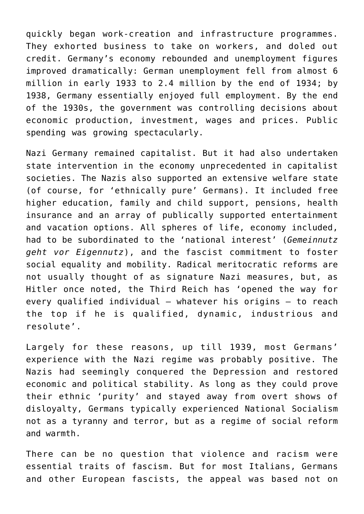quickly began work-creation and infrastructure programmes. They exhorted business to take on workers, and doled out credit. Germany's economy rebounded and unemployment figures improved dramatically: German unemployment fell from almost 6 million in early 1933 to 2.4 million by the end of 1934; by 1938, Germany essentially enjoyed full employment. By the end of the 1930s, the government was controlling decisions about economic production, investment, wages and prices. Public spending was growing spectacularly.

Nazi Germany remained capitalist. But it had also undertaken state intervention in the economy unprecedented in capitalist societies. The Nazis also supported an extensive welfare state (of course, for 'ethnically pure' Germans). It included free higher education, family and child support, pensions, health insurance and an array of publically supported entertainment and vacation options. All spheres of life, economy included, had to be subordinated to the 'national interest' (*Gemeinnutz geht vor Eigennutz*), and the fascist commitment to foster social equality and mobility. Radical meritocratic reforms are not usually thought of as signature Nazi measures, but, as Hitler once noted, the Third Reich has 'opened the way for every qualified individual – whatever his origins – to reach the top if he is qualified, dynamic, industrious and resolute'.

Largely for these reasons, up till 1939, most Germans' experience with the Nazi regime was probably positive. The Nazis had seemingly conquered the Depression and restored economic and political stability. As long as they could prove their ethnic 'purity' and stayed away from overt shows of disloyalty, Germans typically experienced National Socialism not as a tyranny and terror, but as a regime of social reform and warmth.

There can be no question that violence and racism were essential traits of fascism. But for most Italians, Germans and other European fascists, the appeal was based not on